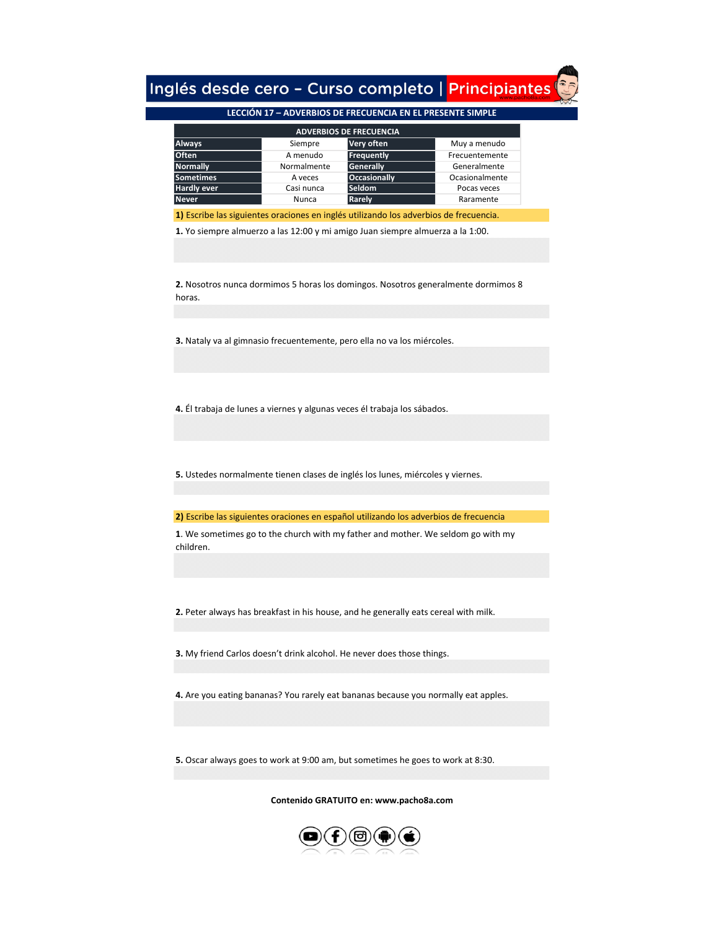## Inglés desde cero - Curso completo | Principiantes

## **[LECCIÓN 17 – ADVERBIOS DE FRECUENCIA EN EL PRESENTE SIMPLE](https://www.pacho8a.com/ingl%C3%A9s/curso-ingl%C3%A9s-desde-cero/lecci%C3%B3n-17/)**

| <b>ADVERBIOS DE FRECUENCIA</b> |             |                     |                |  |
|--------------------------------|-------------|---------------------|----------------|--|
| <b>Always</b>                  | Siempre     | Very often          | Muy a menudo   |  |
| <b>Often</b>                   | A menudo    | Frequently          | Frecuentemente |  |
| <b>Normally</b>                | Normalmente | Generally           | Generalmente   |  |
| <b>Sometimes</b>               | A veces     | <b>Occasionally</b> | Ocasionalmente |  |
| <b>Hardly ever</b>             | Casi nunca  | <b>Seldom</b>       | Pocas veces    |  |
| <b>Never</b>                   | Nunca       | Rarely              | Raramente      |  |
|                                |             |                     |                |  |

**1)** Escribe las siguientes oraciones en inglés utilizando los adverbios de frecuencia.

**1.** Yo siempre almuerzo a las 12:00 y mi amigo Juan siempre almuerza a la 1:00.

**2.** Nosotros nunca dormimos 5 horas los domingos. Nosotros generalmente dormimos 8 horas.

**3.** Nataly va al gimnasio frecuentemente, pero ella no va los miércoles.

**4.** Él trabaja de lunes a viernes y algunas veces él trabaja los sábados.

**5.** Ustedes normalmente tienen clases de inglés los lunes, miércoles y viernes.

**2)** Escribe las siguientes oraciones en español utilizando los adverbios de frecuencia

**1**. We sometimes go to the church with my father and mother. We seldom go with my children.

**2.** Peter always has breakfast in his house, and he generally eats cereal with milk.

**3.** My friend Carlos doesn't drink alcohol. He never does those things.

**4.** Are you eating bananas? You rarely eat bananas because you normally eat apples.

**5.** Oscar always goes to work at 9:00 am, but sometimes he goes to work at 8:30.

**[C](https://www.pacho8a.com/ingl%C3%A9s/curso-ingl%C3%A9s-desde-cero/lecci%C3%B3n-17/)ontenido GRATUITO en: www.pacho8a.com**